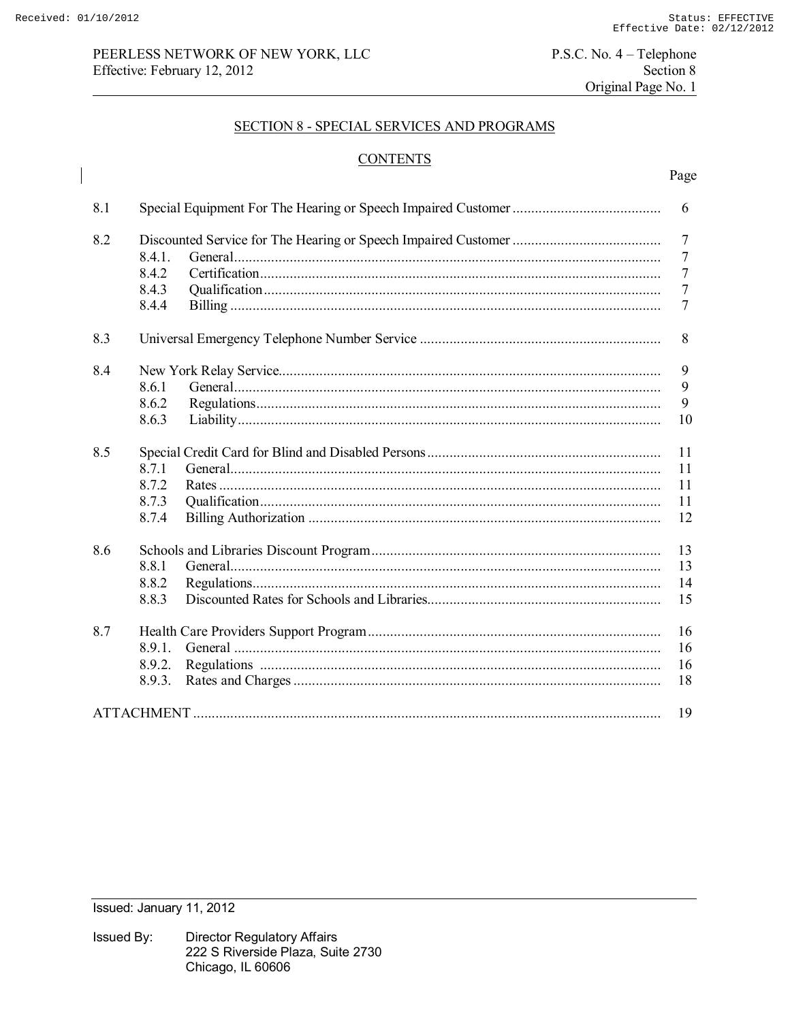$\overline{\phantom{a}}$ 

# PEERLESS NETWORK OF NEW YORK, LLC Effective: February 12, 2012

 $P.S.C. No. 4 - Telephone$ Section 8 Original Page No. 1

### **SECTION 8 - SPECIAL SERVICES AND PROGRAMS**

# **CONTENTS**

| 8.1 |        |  | 6              |
|-----|--------|--|----------------|
| 8.2 |        |  |                |
|     | 8.4.1. |  | $\overline{7}$ |
|     | 8.4.2  |  | $\overline{7}$ |
|     | 8.4.3  |  | $\tau$         |
|     | 8.4.4  |  | $\overline{7}$ |
| 8.3 |        |  | 8              |
| 8.4 |        |  |                |
|     | 8.6.1  |  | 9              |
|     | 8.6.2  |  | 9              |
|     | 8.6.3  |  | 10             |
| 8.5 |        |  |                |
|     | 8.7.1  |  | 11             |
|     | 8.7.2  |  | 11             |
|     | 8.7.3  |  | 11             |
|     | 8.7.4  |  | 12             |
| 8.6 |        |  |                |
|     | 8.8.1  |  | 13             |
|     | 8.8.2  |  | 14             |
|     | 8.8.3  |  | 15             |
| 8.7 |        |  |                |
|     | 8.9.1. |  | 16             |
|     | 8.9.2. |  | 16             |
|     | 8.9.3. |  | 18             |
|     |        |  | 19             |

Issued: January 11, 2012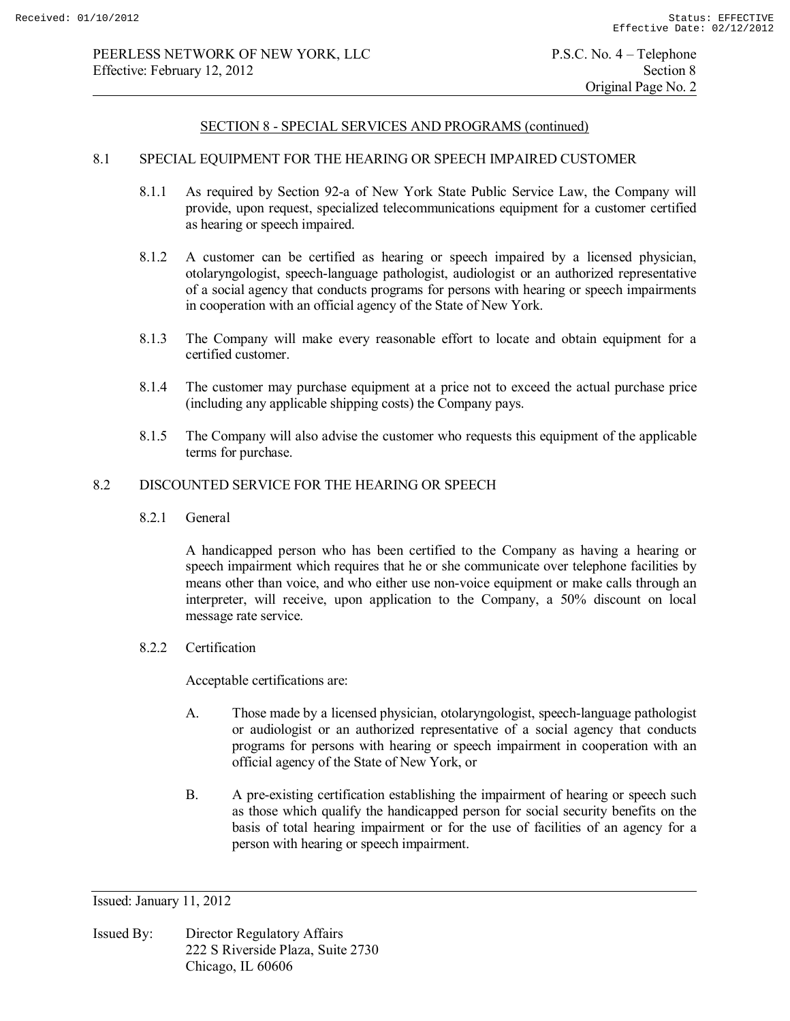### 8.1 SPECIAL EQUIPMENT FOR THE HEARING OR SPEECH IMPAIRED CUSTOMER

- 8.1.1 As required by Section 92-a of New York State Public Service Law, the Company will provide, upon request, specialized telecommunications equipment for a customer certified as hearing or speech impaired.
- 8.1.2 A customer can be certified as hearing or speech impaired by a licensed physician, otolaryngologist, speech-language pathologist, audiologist or an authorized representative of a social agency that conducts programs for persons with hearing or speech impairments in cooperation with an official agency of the State of New York.
- 8.1.3 The Company will make every reasonable effort to locate and obtain equipment for a certified customer.
- 8.1.4 The customer may purchase equipment at a price not to exceed the actual purchase price (including any applicable shipping costs) the Company pays.
- 8.1.5 The Company will also advise the customer who requests this equipment of the applicable terms for purchase.

### 8.2 DISCOUNTED SERVICE FOR THE HEARING OR SPEECH

8.2.1 General

 A handicapped person who has been certified to the Company as having a hearing or speech impairment which requires that he or she communicate over telephone facilities by means other than voice, and who either use non-voice equipment or make calls through an interpreter, will receive, upon application to the Company, a 50% discount on local message rate service.

8.2.2 Certification

Acceptable certifications are:

- A. Those made by a licensed physician, otolaryngologist, speech-language pathologist or audiologist or an authorized representative of a social agency that conducts programs for persons with hearing or speech impairment in cooperation with an official agency of the State of New York, or
- B. A pre-existing certification establishing the impairment of hearing or speech such as those which qualify the handicapped person for social security benefits on the basis of total hearing impairment or for the use of facilities of an agency for a person with hearing or speech impairment.

Issued: January 11, 2012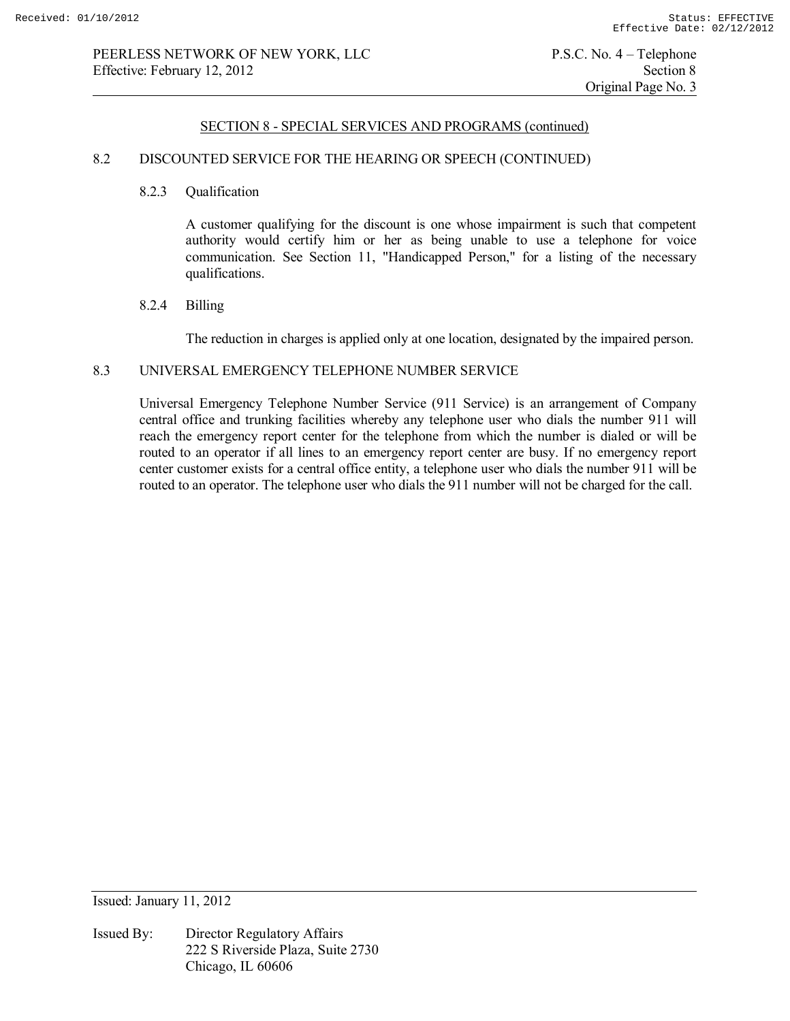### 8.2 DISCOUNTED SERVICE FOR THE HEARING OR SPEECH (CONTINUED)

### 8.2.3 Qualification

 A customer qualifying for the discount is one whose impairment is such that competent authority would certify him or her as being unable to use a telephone for voice communication. See Section 11, "Handicapped Person," for a listing of the necessary qualifications.

#### 8.2.4 Billing

The reduction in charges is applied only at one location, designated by the impaired person.

#### 8.3 UNIVERSAL EMERGENCY TELEPHONE NUMBER SERVICE

 Universal Emergency Telephone Number Service (911 Service) is an arrangement of Company central office and trunking facilities whereby any telephone user who dials the number 911 will reach the emergency report center for the telephone from which the number is dialed or will be routed to an operator if all lines to an emergency report center are busy. If no emergency report center customer exists for a central office entity, a telephone user who dials the number 911 will be routed to an operator. The telephone user who dials the 911 number will not be charged for the call.

Issued: January 11, 2012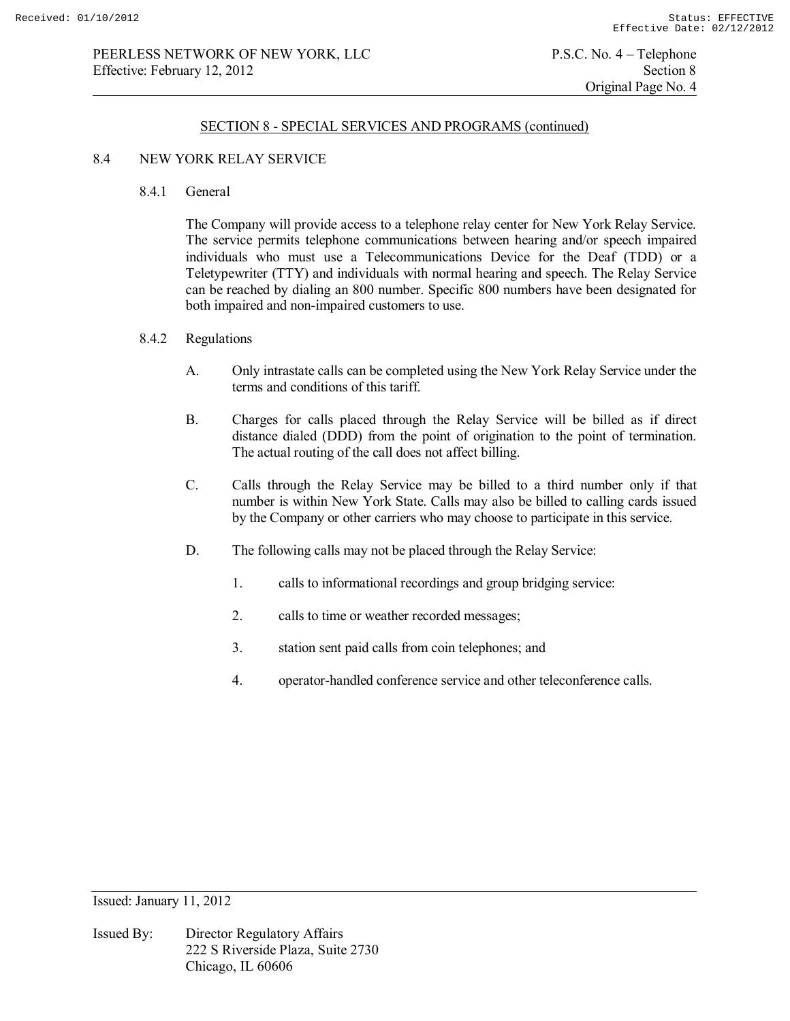### 8.4 NEW YORK RELAY SERVICE

8.4.1 General

 The Company will provide access to a telephone relay center for New York Relay Service. The service permits telephone communications between hearing and/or speech impaired individuals who must use a Telecommunications Device for the Deaf (TDD) or a Teletypewriter (TTY) and individuals with normal hearing and speech. The Relay Service can be reached by dialing an 800 number. Specific 800 numbers have been designated for both impaired and non-impaired customers to use.

- 8.4.2 Regulations
	- A. Only intrastate calls can be completed using the New York Relay Service under the terms and conditions of this tariff.
	- B. Charges for calls placed through the Relay Service will be billed as if direct distance dialed (DDD) from the point of origination to the point of termination. The actual routing of the call does not affect billing.
	- C. Calls through the Relay Service may be billed to a third number only if that number is within New York State. Calls may also be billed to calling cards issued by the Company or other carriers who may choose to participate in this service.
	- D. The following calls may not be placed through the Relay Service:
		- 1. calls to informational recordings and group bridging service:
		- 2. calls to time or weather recorded messages;
		- 3. station sent paid calls from coin telephones; and
		- 4. operator-handled conference service and other teleconference calls.

Issued: January 11, 2012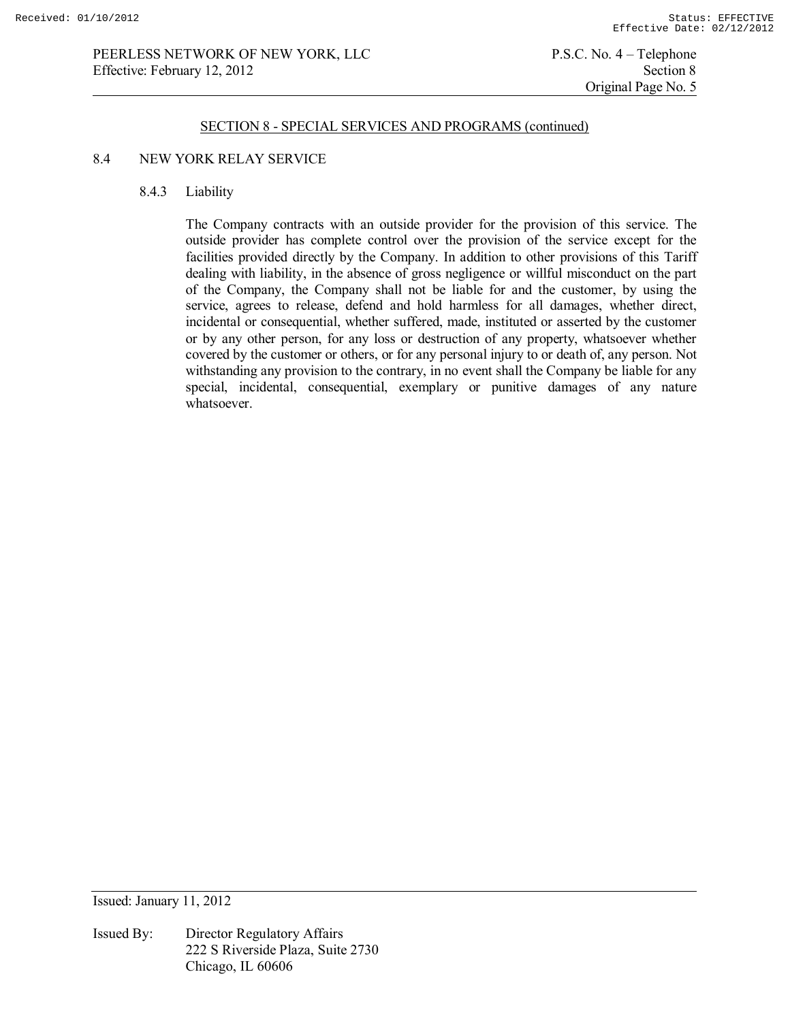### PEERLESS NETWORK OF NEW YORK, LLC P.S.C. No. 4 – Telephone Effective: February 12, 2012 Section 8

#### SECTION 8 - SPECIAL SERVICES AND PROGRAMS (continued)

### 8.4 NEW YORK RELAY SERVICE

### 8.4.3 Liability

 The Company contracts with an outside provider for the provision of this service. The outside provider has complete control over the provision of the service except for the facilities provided directly by the Company. In addition to other provisions of this Tariff dealing with liability, in the absence of gross negligence or willful misconduct on the part of the Company, the Company shall not be liable for and the customer, by using the service, agrees to release, defend and hold harmless for all damages, whether direct, incidental or consequential, whether suffered, made, instituted or asserted by the customer or by any other person, for any loss or destruction of any property, whatsoever whether covered by the customer or others, or for any personal injury to or death of, any person. Not withstanding any provision to the contrary, in no event shall the Company be liable for any special, incidental, consequential, exemplary or punitive damages of any nature whatsoever.

Issued: January 11, 2012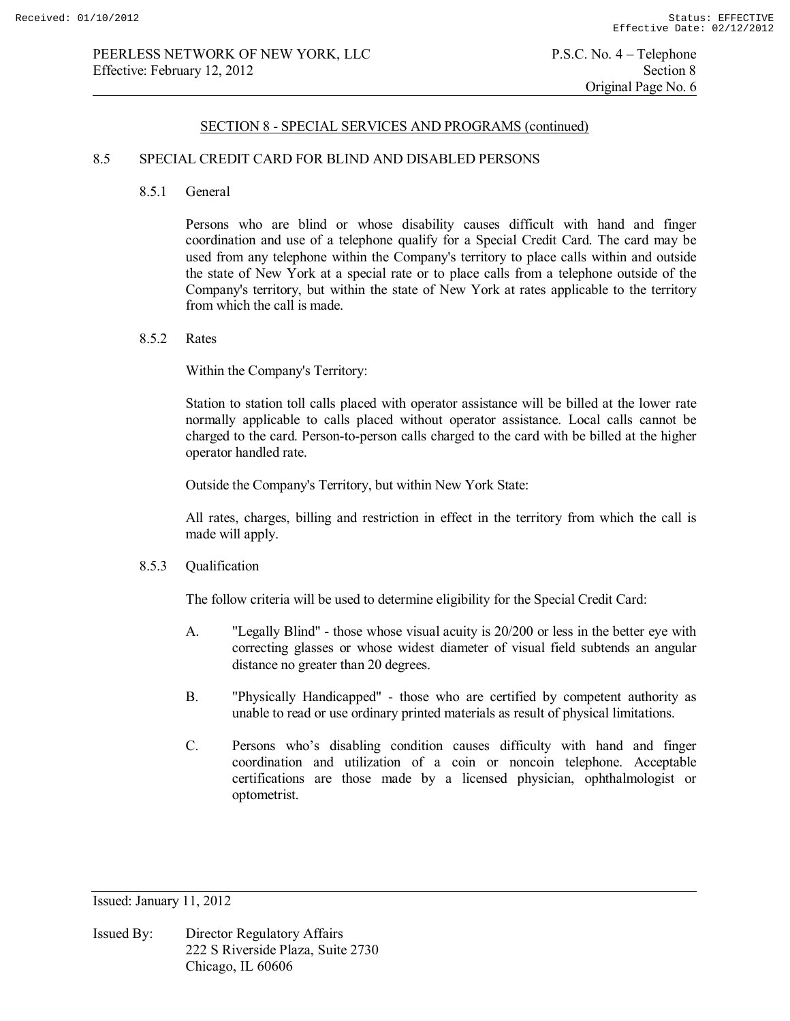### 8.5 SPECIAL CREDIT CARD FOR BLIND AND DISABLED PERSONS

8.5.1 General

 Persons who are blind or whose disability causes difficult with hand and finger coordination and use of a telephone qualify for a Special Credit Card. The card may be used from any telephone within the Company's territory to place calls within and outside the state of New York at a special rate or to place calls from a telephone outside of the Company's territory, but within the state of New York at rates applicable to the territory from which the call is made.

8.5.2 Rates

Within the Company's Territory:

 Station to station toll calls placed with operator assistance will be billed at the lower rate normally applicable to calls placed without operator assistance. Local calls cannot be charged to the card. Person-to-person calls charged to the card with be billed at the higher operator handled rate.

Outside the Company's Territory, but within New York State:

 All rates, charges, billing and restriction in effect in the territory from which the call is made will apply.

#### 8.5.3 Qualification

The follow criteria will be used to determine eligibility for the Special Credit Card:

- A. "Legally Blind" those whose visual acuity is 20/200 or less in the better eye with correcting glasses or whose widest diameter of visual field subtends an angular distance no greater than 20 degrees.
- B. "Physically Handicapped" those who are certified by competent authority as unable to read or use ordinary printed materials as result of physical limitations.
- C. Persons who's disabling condition causes difficulty with hand and finger coordination and utilization of a coin or noncoin telephone. Acceptable certifications are those made by a licensed physician, ophthalmologist or optometrist.

Issued: January 11, 2012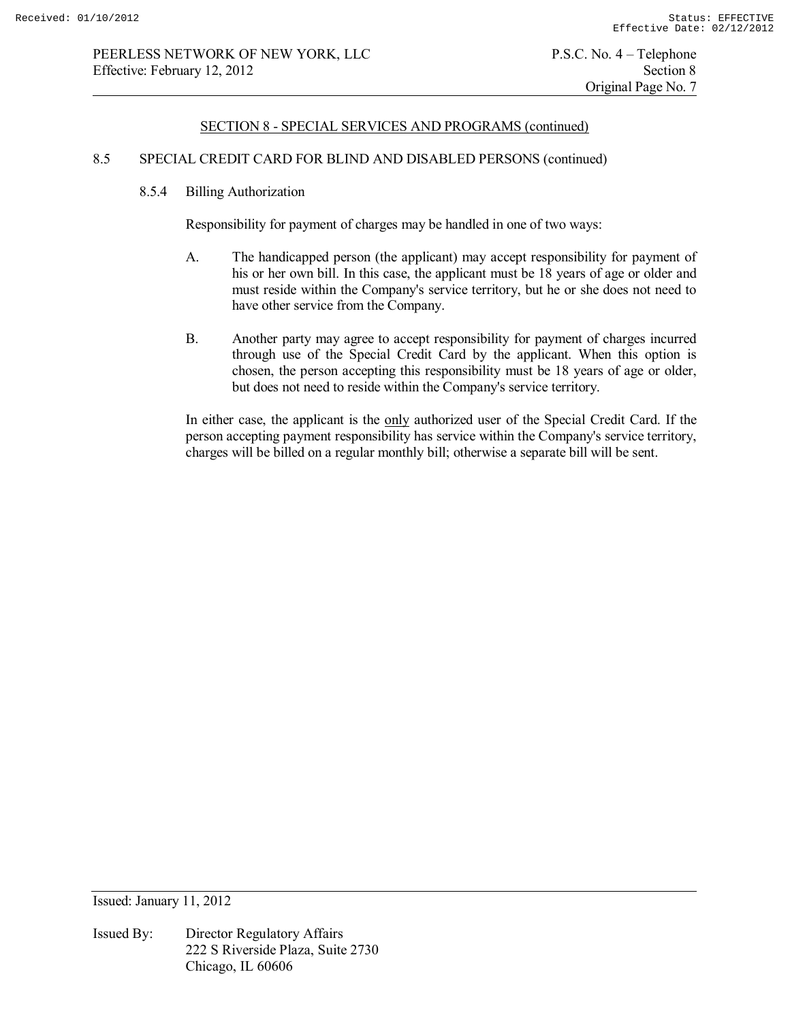### 8.5 SPECIAL CREDIT CARD FOR BLIND AND DISABLED PERSONS (continued)

8.5.4 Billing Authorization

Responsibility for payment of charges may be handled in one of two ways:

- A. The handicapped person (the applicant) may accept responsibility for payment of his or her own bill. In this case, the applicant must be 18 years of age or older and must reside within the Company's service territory, but he or she does not need to have other service from the Company.
- B. Another party may agree to accept responsibility for payment of charges incurred through use of the Special Credit Card by the applicant. When this option is chosen, the person accepting this responsibility must be 18 years of age or older, but does not need to reside within the Company's service territory.

 In either case, the applicant is the only authorized user of the Special Credit Card. If the person accepting payment responsibility has service within the Company's service territory, charges will be billed on a regular monthly bill; otherwise a separate bill will be sent.

Issued: January 11, 2012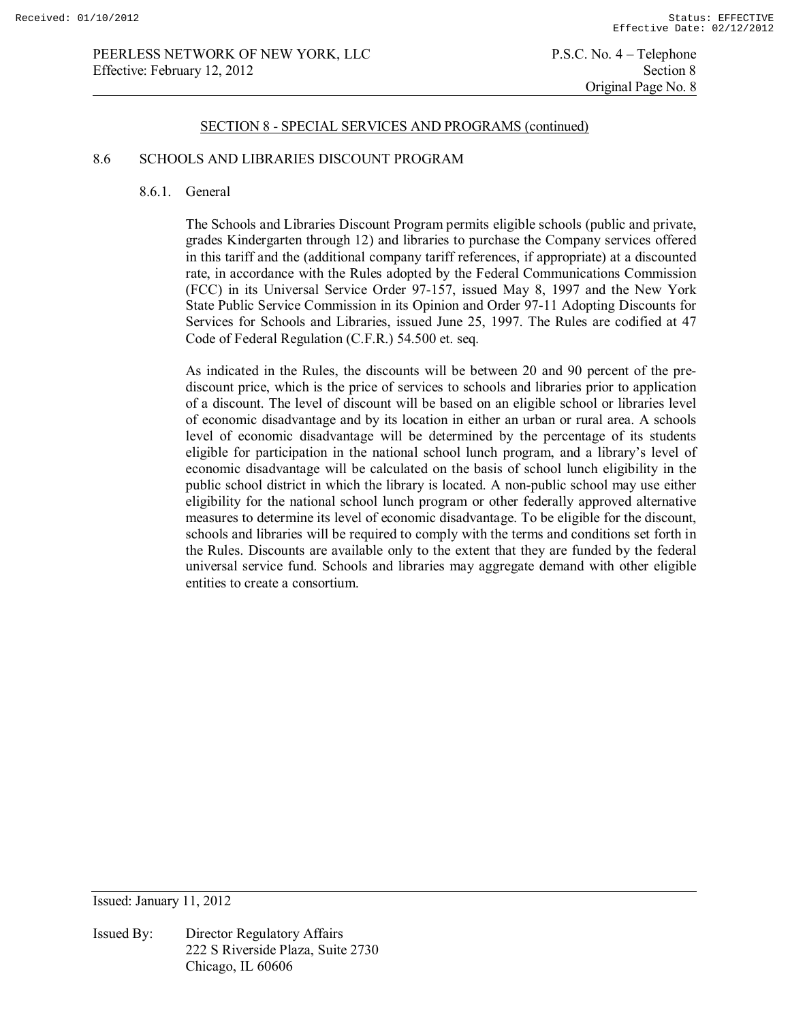### 8.6 SCHOOLS AND LIBRARIES DISCOUNT PROGRAM

### 8.6.1. General

The Schools and Libraries Discount Program permits eligible schools (public and private, grades Kindergarten through 12) and libraries to purchase the Company services offered in this tariff and the (additional company tariff references, if appropriate) at a discounted rate, in accordance with the Rules adopted by the Federal Communications Commission (FCC) in its Universal Service Order 97-157, issued May 8, 1997 and the New York State Public Service Commission in its Opinion and Order 97-11 Adopting Discounts for Services for Schools and Libraries, issued June 25, 1997. The Rules are codified at 47 Code of Federal Regulation (C.F.R.) 54.500 et. seq.

As indicated in the Rules, the discounts will be between 20 and 90 percent of the prediscount price, which is the price of services to schools and libraries prior to application of a discount. The level of discount will be based on an eligible school or libraries level of economic disadvantage and by its location in either an urban or rural area. A schools level of economic disadvantage will be determined by the percentage of its students eligible for participation in the national school lunch program, and a library's level of economic disadvantage will be calculated on the basis of school lunch eligibility in the public school district in which the library is located. A non-public school may use either eligibility for the national school lunch program or other federally approved alternative measures to determine its level of economic disadvantage. To be eligible for the discount, schools and libraries will be required to comply with the terms and conditions set forth in the Rules. Discounts are available only to the extent that they are funded by the federal universal service fund. Schools and libraries may aggregate demand with other eligible entities to create a consortium.

Issued: January 11, 2012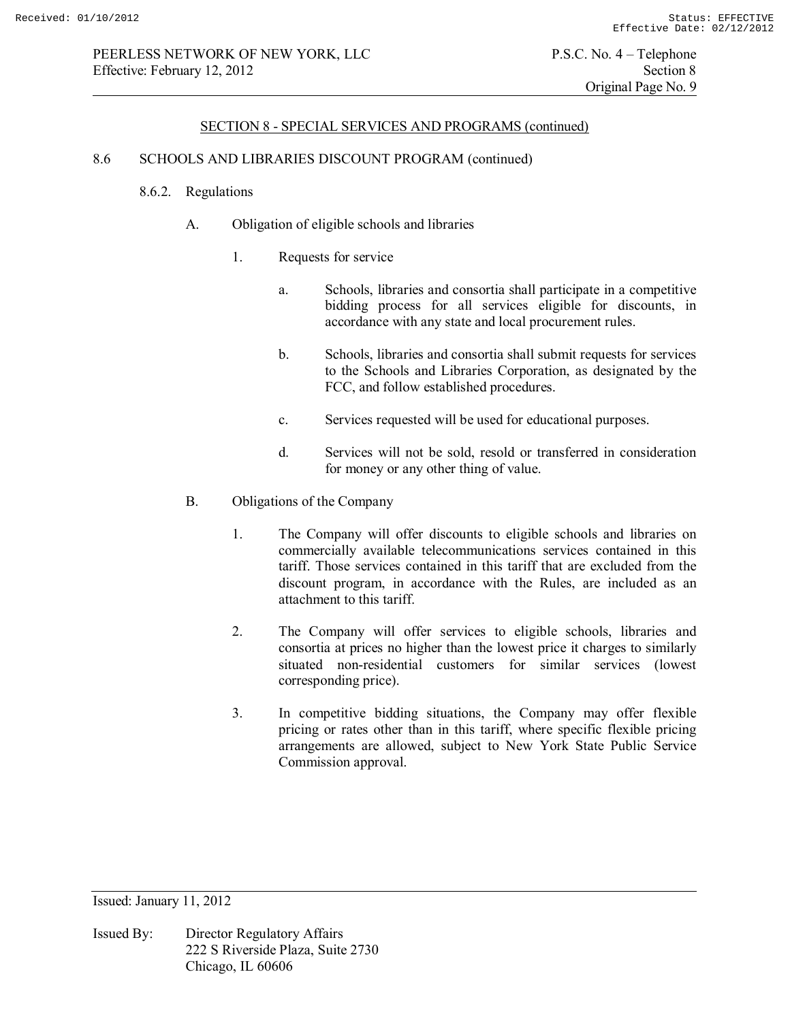### 8.6 SCHOOLS AND LIBRARIES DISCOUNT PROGRAM (continued)

### 8.6.2. Regulations

- A. Obligation of eligible schools and libraries
	- 1. Requests for service
		- a. Schools, libraries and consortia shall participate in a competitive bidding process for all services eligible for discounts, in accordance with any state and local procurement rules.
		- b. Schools, libraries and consortia shall submit requests for services to the Schools and Libraries Corporation, as designated by the FCC, and follow established procedures.
		- c. Services requested will be used for educational purposes.
		- d. Services will not be sold, resold or transferred in consideration for money or any other thing of value.
- B. Obligations of the Company
	- 1. The Company will offer discounts to eligible schools and libraries on commercially available telecommunications services contained in this tariff. Those services contained in this tariff that are excluded from the discount program, in accordance with the Rules, are included as an attachment to this tariff.
	- 2. The Company will offer services to eligible schools, libraries and consortia at prices no higher than the lowest price it charges to similarly situated non-residential customers for similar services (lowest corresponding price).
	- 3. In competitive bidding situations, the Company may offer flexible pricing or rates other than in this tariff, where specific flexible pricing arrangements are allowed, subject to New York State Public Service Commission approval.

Issued: January 11, 2012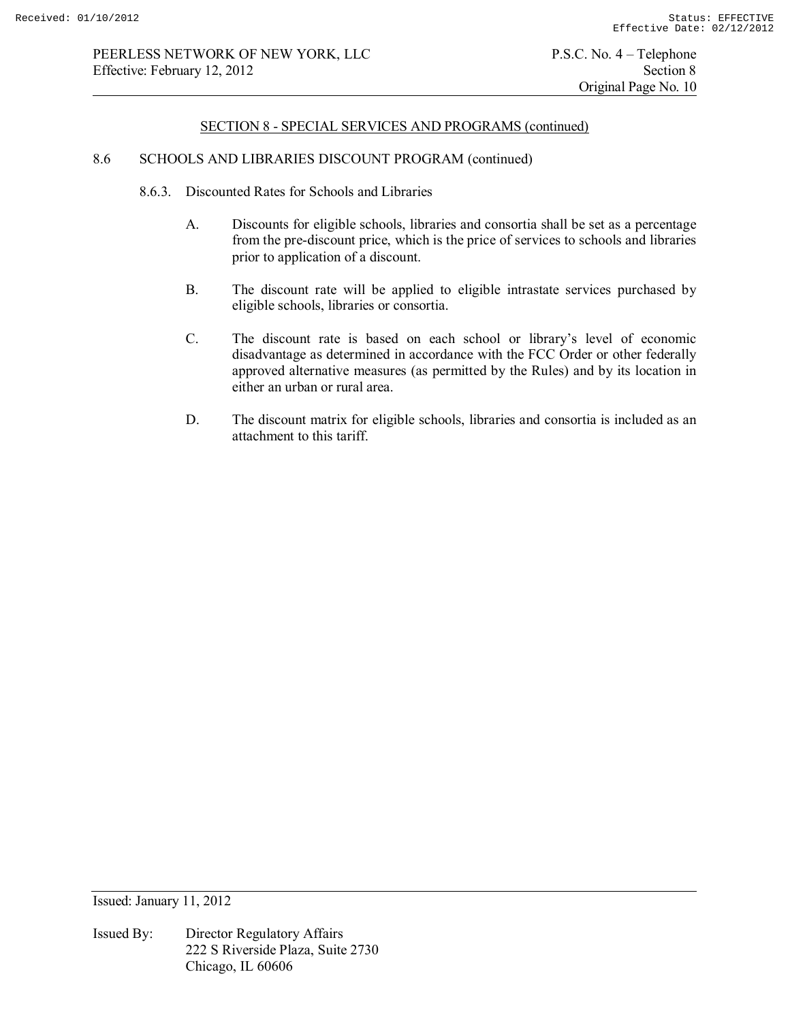#### 8.6 SCHOOLS AND LIBRARIES DISCOUNT PROGRAM (continued)

- 8.6.3. Discounted Rates for Schools and Libraries
	- A. Discounts for eligible schools, libraries and consortia shall be set as a percentage from the pre-discount price, which is the price of services to schools and libraries prior to application of a discount.
	- B. The discount rate will be applied to eligible intrastate services purchased by eligible schools, libraries or consortia.
	- C. The discount rate is based on each school or library's level of economic disadvantage as determined in accordance with the FCC Order or other federally approved alternative measures (as permitted by the Rules) and by its location in either an urban or rural area.
	- D. The discount matrix for eligible schools, libraries and consortia is included as an attachment to this tariff.

Issued: January 11, 2012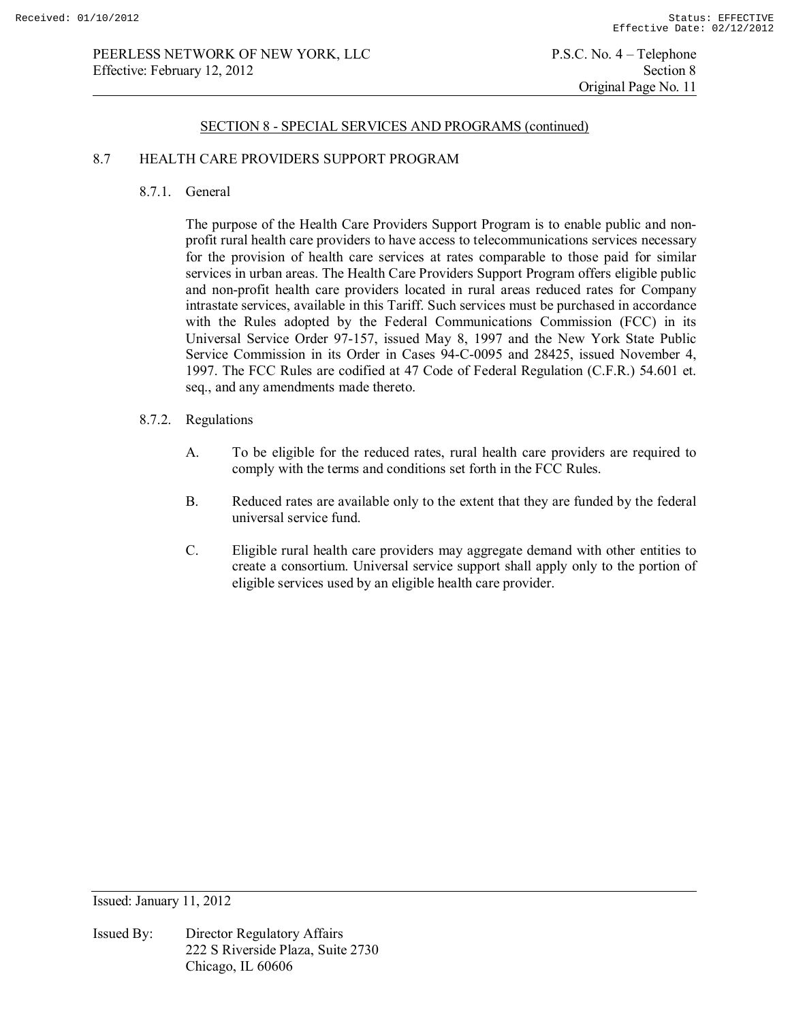### 8.7 HEALTH CARE PROVIDERS SUPPORT PROGRAM

8.7.1. General

The purpose of the Health Care Providers Support Program is to enable public and nonprofit rural health care providers to have access to telecommunications services necessary for the provision of health care services at rates comparable to those paid for similar services in urban areas. The Health Care Providers Support Program offers eligible public and non-profit health care providers located in rural areas reduced rates for Company intrastate services, available in this Tariff. Such services must be purchased in accordance with the Rules adopted by the Federal Communications Commission (FCC) in its Universal Service Order 97-157, issued May 8, 1997 and the New York State Public Service Commission in its Order in Cases 94-C-0095 and 28425, issued November 4, 1997. The FCC Rules are codified at 47 Code of Federal Regulation (C.F.R.) 54.601 et. seq., and any amendments made thereto.

#### 8.7.2. Regulations

- A. To be eligible for the reduced rates, rural health care providers are required to comply with the terms and conditions set forth in the FCC Rules.
- B. Reduced rates are available only to the extent that they are funded by the federal universal service fund.
- C. Eligible rural health care providers may aggregate demand with other entities to create a consortium. Universal service support shall apply only to the portion of eligible services used by an eligible health care provider.

Issued: January 11, 2012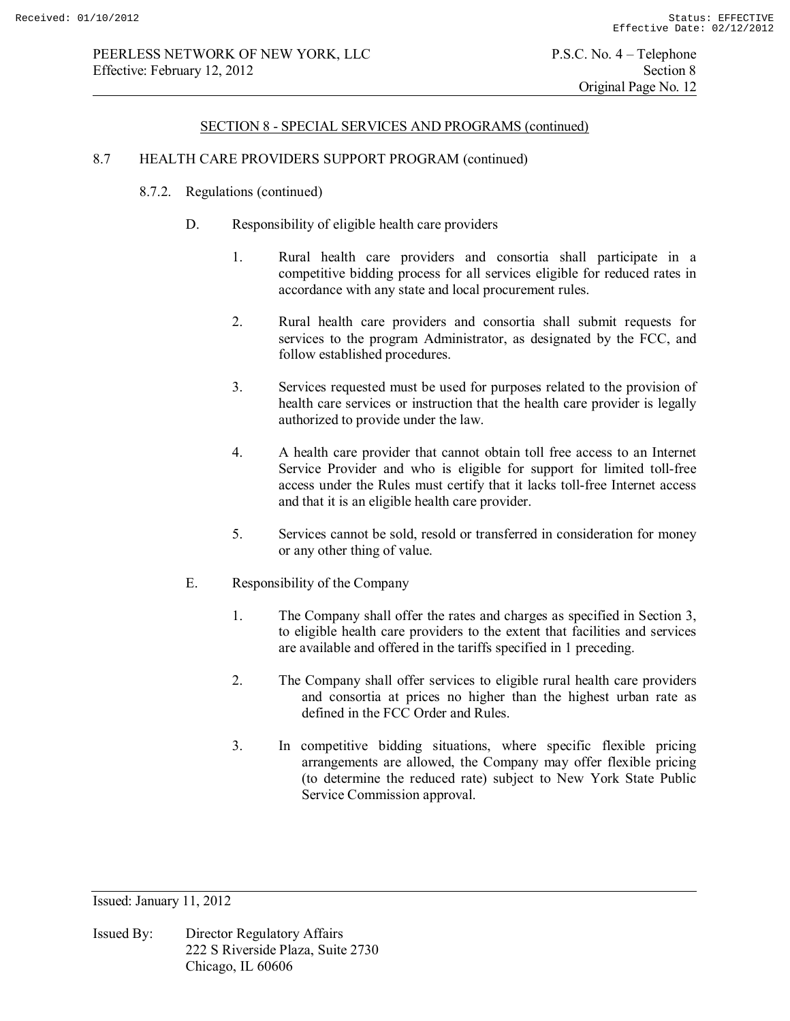# PEERLESS NETWORK OF NEW YORK, LLC P.S.C. No. 4 – Telephone Effective: February 12, 2012 Section 8

### SECTION 8 - SPECIAL SERVICES AND PROGRAMS (continued)

### 8.7 HEALTH CARE PROVIDERS SUPPORT PROGRAM (continued)

- 8.7.2. Regulations (continued)
	- D. Responsibility of eligible health care providers
		- 1. Rural health care providers and consortia shall participate in a competitive bidding process for all services eligible for reduced rates in accordance with any state and local procurement rules.
		- 2. Rural health care providers and consortia shall submit requests for services to the program Administrator, as designated by the FCC, and follow established procedures.
		- 3. Services requested must be used for purposes related to the provision of health care services or instruction that the health care provider is legally authorized to provide under the law.
		- 4. A health care provider that cannot obtain toll free access to an Internet Service Provider and who is eligible for support for limited toll-free access under the Rules must certify that it lacks toll-free Internet access and that it is an eligible health care provider.
		- 5. Services cannot be sold, resold or transferred in consideration for money or any other thing of value.
	- E. Responsibility of the Company
		- 1. The Company shall offer the rates and charges as specified in Section 3, to eligible health care providers to the extent that facilities and services are available and offered in the tariffs specified in 1 preceding.
		- 2. The Company shall offer services to eligible rural health care providers and consortia at prices no higher than the highest urban rate as defined in the FCC Order and Rules.
		- 3. In competitive bidding situations, where specific flexible pricing arrangements are allowed, the Company may offer flexible pricing (to determine the reduced rate) subject to New York State Public Service Commission approval.

Issued: January 11, 2012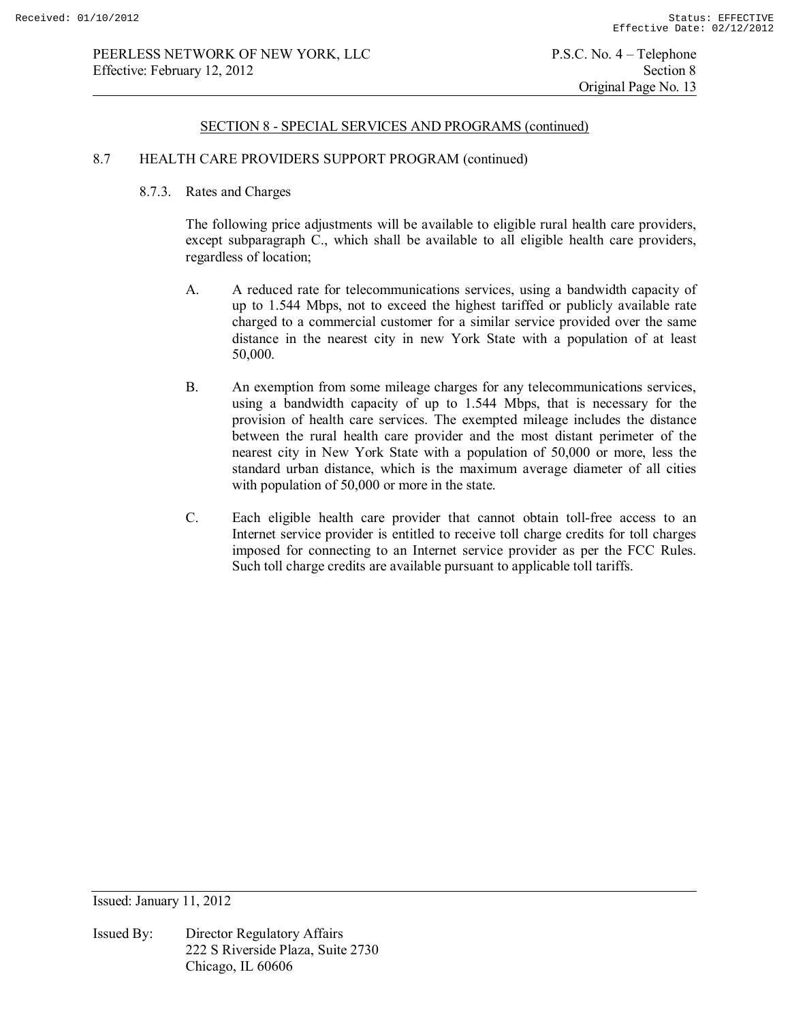### 8.7 HEALTH CARE PROVIDERS SUPPORT PROGRAM (continued)

### 8.7.3. Rates and Charges

The following price adjustments will be available to eligible rural health care providers, except subparagraph C., which shall be available to all eligible health care providers, regardless of location;

- A. A reduced rate for telecommunications services, using a bandwidth capacity of up to 1.544 Mbps, not to exceed the highest tariffed or publicly available rate charged to a commercial customer for a similar service provided over the same distance in the nearest city in new York State with a population of at least 50,000.
- B. An exemption from some mileage charges for any telecommunications services, using a bandwidth capacity of up to 1.544 Mbps, that is necessary for the provision of health care services. The exempted mileage includes the distance between the rural health care provider and the most distant perimeter of the nearest city in New York State with a population of 50,000 or more, less the standard urban distance, which is the maximum average diameter of all cities with population of 50,000 or more in the state.
- C. Each eligible health care provider that cannot obtain toll-free access to an Internet service provider is entitled to receive toll charge credits for toll charges imposed for connecting to an Internet service provider as per the FCC Rules. Such toll charge credits are available pursuant to applicable toll tariffs.

Issued: January 11, 2012